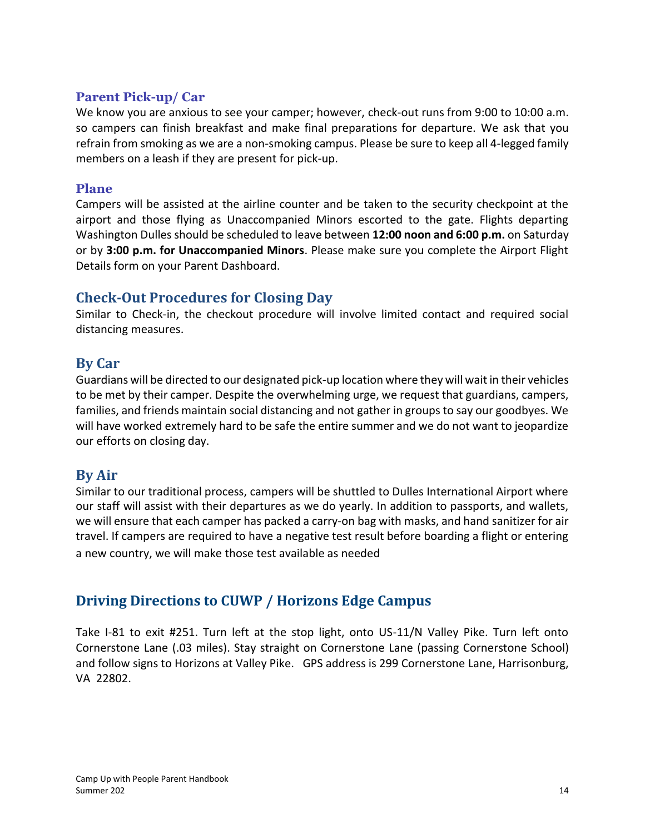#### **Parent Pick-up/ Car**

We know you are anxious to see your camper; however, check-out runs from 9:00 to 10:00 a.m. so campers can finish breakfast and make final preparations for departure. We ask that you refrain from smoking as we are a non-smoking campus. Please be sure to keep all 4-legged family members on a leash if they are present for pick-up.

#### **Plane**

Campers will be assisted at the airline counter and be taken to the security checkpoint at the airport and those flying as Unaccompanied Minors escorted to the gate. Flights departing Washington Dulles should be scheduled to leave between **12:00 noon and 6:00 p.m.** on Saturday or by **3:00 p.m. for Unaccompanied Minors**. Please make sure you complete the Airport Flight Details form on your Parent Dashboard.

### **Check-Out Procedures for Closing Day**

Similar to Check-in, the checkout procedure will involve limited contact and required social distancing measures.

### **By Car**

Guardians will be directed to our designated pick-up location where they will wait in their vehicles to be met by their camper. Despite the overwhelming urge, we request that guardians, campers, families, and friends maintain social distancing and not gather in groups to say our goodbyes. We will have worked extremely hard to be safe the entire summer and we do not want to jeopardize our efforts on closing day.

# **By Air**

Similar to our traditional process, campers will be shuttled to Dulles International Airport where our staff will assist with their departures as we do yearly. In addition to passports, and wallets, we will ensure that each camper has packed a carry-on bag with masks, and hand sanitizer for air travel. If campers are required to have a negative test result before boarding a flight or entering a new country, we will make those test available as needed

# **Driving Directions to CUWP / Horizons Edge Campus**

Take I-81 to exit #251. Turn left at the stop light, onto US-11/N Valley Pike. Turn left onto Cornerstone Lane (.03 miles). Stay straight on Cornerstone Lane (passing Cornerstone School) and follow signs to Horizons at Valley Pike. GPS address is 299 Cornerstone Lane, Harrisonburg, VA 22802.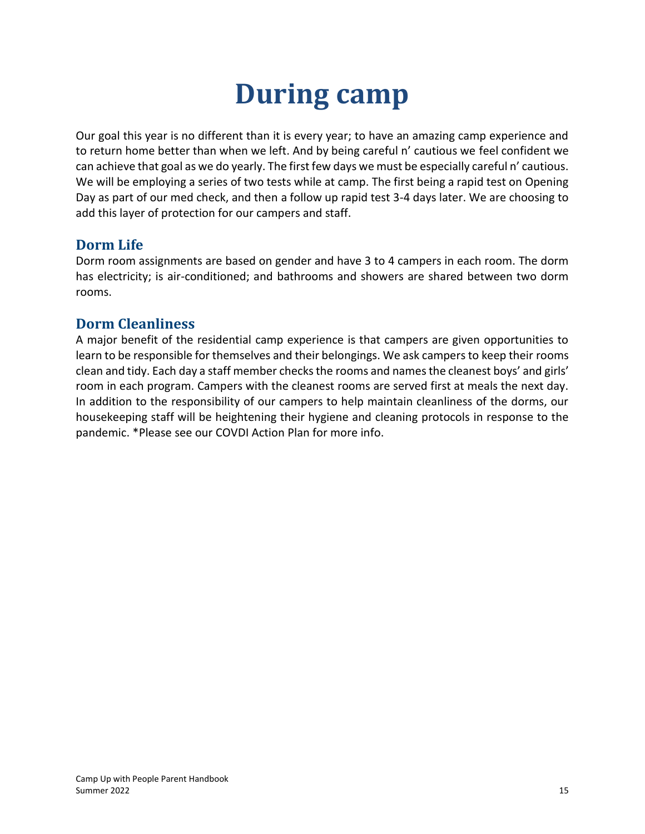# **During camp**

Our goal this year is no different than it is every year; to have an amazing camp experience and to return home better than when we left. And by being careful n' cautious we feel confident we can achieve that goal as we do yearly. The first few days we must be especially careful n' cautious. We will be employing a series of two tests while at camp. The first being a rapid test on Opening Day as part of our med check, and then a follow up rapid test 3-4 days later. We are choosing to add this layer of protection for our campers and staff.

# **Dorm Life**

Dorm room assignments are based on gender and have 3 to 4 campers in each room. The dorm has electricity; is air-conditioned; and bathrooms and showers are shared between two dorm rooms.

# **Dorm Cleanliness**

A major benefit of the residential camp experience is that campers are given opportunities to learn to be responsible for themselves and their belongings. We ask campers to keep their rooms clean and tidy. Each day a staff member checks the rooms and namesthe cleanest boys' and girls' room in each program. Campers with the cleanest rooms are served first at meals the next day. In addition to the responsibility of our campers to help maintain cleanliness of the dorms, our housekeeping staff will be heightening their hygiene and cleaning protocols in response to the pandemic. \*Please see our COVDI Action Plan for more info.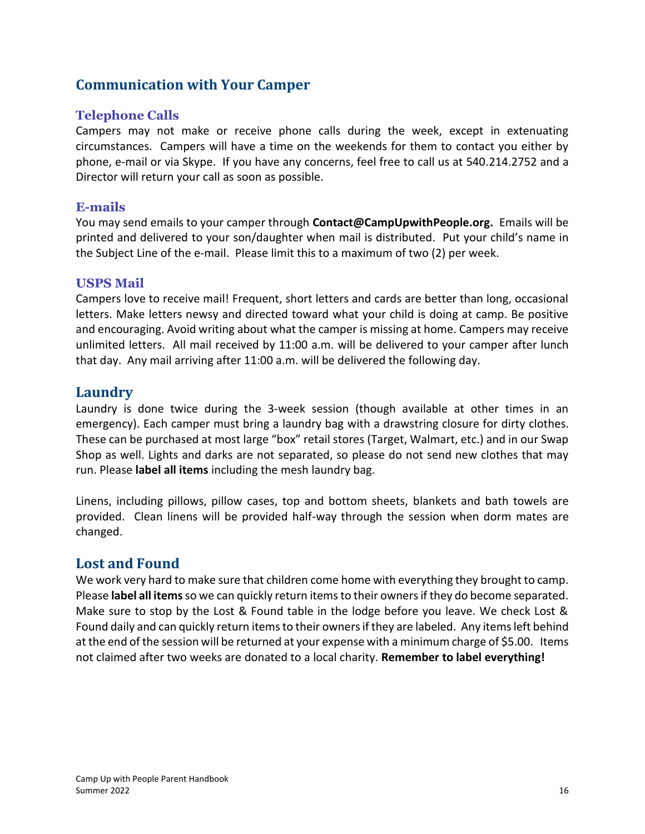# **Communication with Your Camper**

#### **Telephone Calls**

Campers may not make or receive phone calls during the week, except in extenuating circumstances. Campers will have a time on the weekends for them to contact you either by phone, e-mail or via Skype. If you have any concerns, feel free to call us at 540.214.2752 and a Director will return your call as soon as possible.

#### **E-mails**

You may send emails to your camper through **[Contact@CampUpwithPeople.org.](mailto:Contact@CampUpwithPeople.org)** Emails will be printed and delivered to your son/daughter when mail is distributed. Put your child's name in the Subject Line of the e-mail. Please limit this to a maximum of two (2) per week.

#### **USPS Mail**

Campers love to receive mail! Frequent, short letters and cards are better than long, occasional letters. Make letters newsy and directed toward what your child is doing at camp. Be positive and encouraging. Avoid writing about what the camper is missing at home. Campers may receive unlimited letters. All mail received by 11:00 a.m. will be delivered to your camper after lunch that day. Any mail arriving after 11:00 a.m. will be delivered the following day.

#### **Laundry**

Laundry is done twice during the 3-week session (though available at other times in an emergency). Each camper must bring a laundry bag with a drawstring closure for dirty clothes. These can be purchased at most large "box" retail stores (Target, Walmart, etc.) and in our Swap Shop as well. Lights and darks are not separated, so please do not send new clothes that may run. Please **label all items** including the mesh laundry bag.

Linens, including pillows, pillow cases, top and bottom sheets, blankets and bath towels are provided. Clean linens will be provided half-way through the session when dorm mates are changed.

#### **Lost and Found**

We work very hard to make sure that children come home with everything they brought to camp. Please **label all items** so we can quickly return items to their owners if they do become separated. Make sure to stop by the Lost & Found table in the lodge before you leave. We check Lost & Found daily and can quickly return items to their owners if they are labeled. Any items left behind at the end of the session will be returned at your expense with a minimum charge of \$5.00. Items not claimed after two weeks are donated to a local charity. **Remember to label everything!**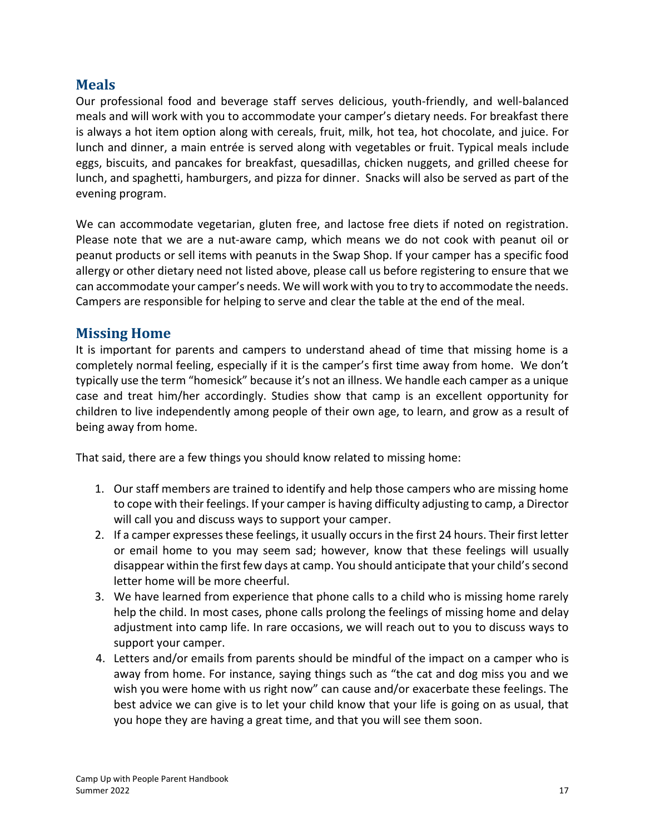## **Meals**

Our professional food and beverage staff serves delicious, youth-friendly, and well-balanced meals and will work with you to accommodate your camper's dietary needs. For breakfast there is always a hot item option along with cereals, fruit, milk, hot tea, hot chocolate, and juice. For lunch and dinner, a main entrée is served along with vegetables or fruit. Typical meals include eggs, biscuits, and pancakes for breakfast, quesadillas, chicken nuggets, and grilled cheese for lunch, and spaghetti, hamburgers, and pizza for dinner. Snacks will also be served as part of the evening program.

We can accommodate vegetarian, gluten free, and lactose free diets if noted on registration. Please note that we are a nut-aware camp, which means we do not cook with peanut oil or peanut products or sell items with peanuts in the Swap Shop. If your camper has a specific food allergy or other dietary need not listed above, please call us before registering to ensure that we can accommodate your camper's needs. We will work with you to try to accommodate the needs. Campers are responsible for helping to serve and clear the table at the end of the meal.

### **Missing Home**

It is important for parents and campers to understand ahead of time that missing home is a completely normal feeling, especially if it is the camper's first time away from home. We don't typically use the term "homesick" because it's not an illness. We handle each camper as a unique case and treat him/her accordingly. Studies show that camp is an excellent opportunity for children to live independently among people of their own age, to learn, and grow as a result of being away from home.

That said, there are a few things you should know related to missing home:

- 1. Our staff members are trained to identify and help those campers who are missing home to cope with their feelings. If your camper is having difficulty adjusting to camp, a Director will call you and discuss ways to support your camper.
- 2. If a camper expresses these feelings, it usually occurs in the first 24 hours. Their first letter or email home to you may seem sad; however, know that these feelings will usually disappear within the first few days at camp. You should anticipate that your child's second letter home will be more cheerful.
- 3. We have learned from experience that phone calls to a child who is missing home rarely help the child. In most cases, phone calls prolong the feelings of missing home and delay adjustment into camp life. In rare occasions, we will reach out to you to discuss ways to support your camper.
- 4. Letters and/or emails from parents should be mindful of the impact on a camper who is away from home. For instance, saying things such as "the cat and dog miss you and we wish you were home with us right now" can cause and/or exacerbate these feelings. The best advice we can give is to let your child know that your life is going on as usual, that you hope they are having a great time, and that you will see them soon.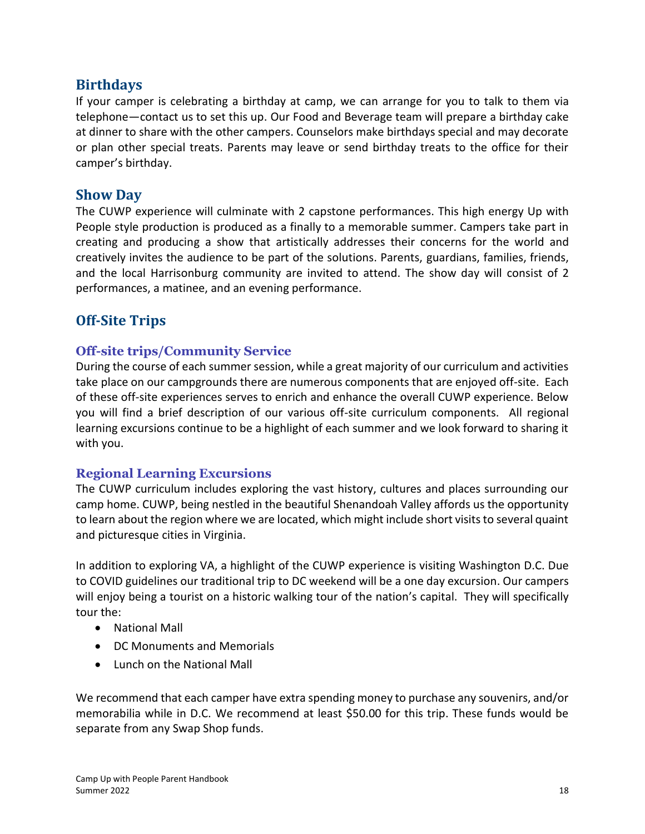# **Birthdays**

If your camper is celebrating a birthday at camp, we can arrange for you to talk to them via telephone—contact us to set this up. Our Food and Beverage team will prepare a birthday cake at dinner to share with the other campers. Counselors make birthdays special and may decorate or plan other special treats. Parents may leave or send birthday treats to the office for their camper's birthday.

## **Show Day**

The CUWP experience will culminate with 2 capstone performances. This high energy Up with People style production is produced as a finally to a memorable summer. Campers take part in creating and producing a show that artistically addresses their concerns for the world and creatively invites the audience to be part of the solutions. Parents, guardians, families, friends, and the local Harrisonburg community are invited to attend. The show day will consist of 2 performances, a matinee, and an evening performance.

# **Off-Site Trips**

#### **Off-site trips/Community Service**

During the course of each summer session, while a great majority of our curriculum and activities take place on our campgrounds there are numerous components that are enjoyed off-site. Each of these off-site experiences serves to enrich and enhance the overall CUWP experience. Below you will find a brief description of our various off-site curriculum components. All regional learning excursions continue to be a highlight of each summer and we look forward to sharing it with you.

#### **Regional Learning Excursions**

The CUWP curriculum includes exploring the vast history, cultures and places surrounding our camp home. CUWP, being nestled in the beautiful Shenandoah Valley affords us the opportunity to learn about the region where we are located, which might include short visits to several quaint and picturesque cities in Virginia.

In addition to exploring VA, a highlight of the CUWP experience is visiting Washington D.C. Due to COVID guidelines our traditional trip to DC weekend will be a one day excursion. Our campers will enjoy being a tourist on a historic walking tour of the nation's capital. They will specifically tour the:

- National Mall
- DC Monuments and Memorials
- Lunch on the National Mall

We recommend that each camper have extra spending money to purchase any souvenirs, and/or memorabilia while in D.C. We recommend at least \$50.00 for this trip. These funds would be separate from any Swap Shop funds.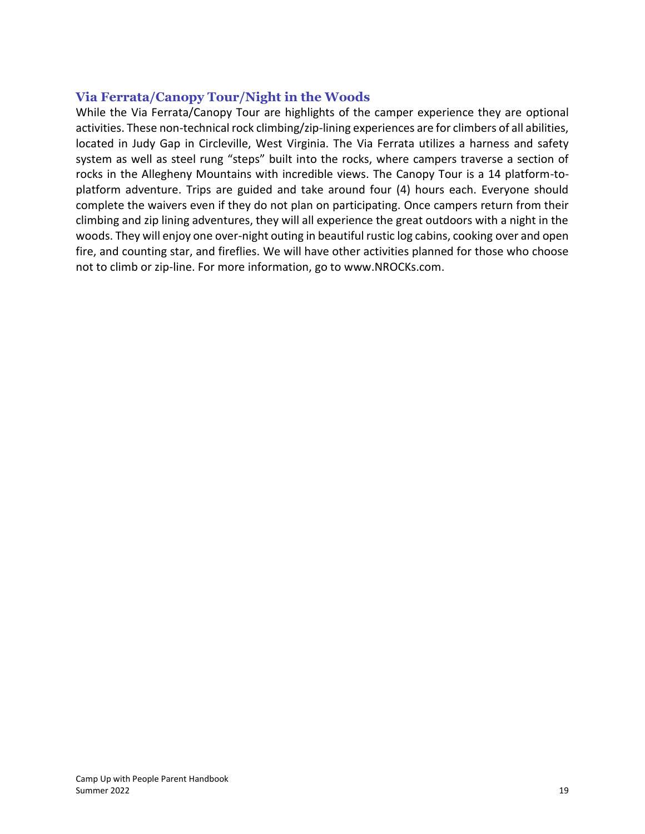#### **Via Ferrata/Canopy Tour/Night in the Woods**

While the Via Ferrata/Canopy Tour are highlights of the camper experience they are optional activities. These non-technical rock climbing/zip-lining experiences are for climbers of all abilities, located in Judy Gap in Circleville, West Virginia. The Via Ferrata utilizes a harness and safety system as well as steel rung "steps" built into the rocks, where campers traverse a section of rocks in the Allegheny Mountains with incredible views. The Canopy Tour is a 14 platform-toplatform adventure. Trips are guided and take around four (4) hours each. Everyone should complete the waivers even if they do not plan on participating. Once campers return from their climbing and zip lining adventures, they will all experience the great outdoors with a night in the woods. They will enjoy one over-night outing in beautiful rustic log cabins, cooking over and open fire, and counting star, and fireflies. We will have other activities planned for those who choose not to climb or zip-line. For more information, go to [www.NROCKs.com.](http://www.nrocks.com/)